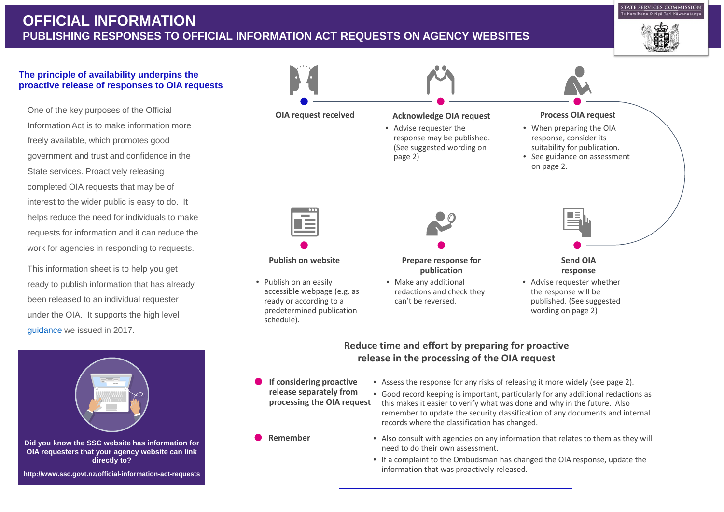One of the key purposes of the Official Information Act is to make information more freely available, which promotes good government and trust and confidence in the State services. Proactively releasing completed OIA requests that may be of interest to the wider public is easy to do. It helps reduce the need for individuals to make requests for information and it can reduce the work for agencies in responding to requests.

This information sheet is to help you get ready to publish information that has already been released to an individual requester under the OIA. It supports the high level [guidance](http://www.ssc.govt.nz/official-information-proactive-release) we issued in 2017.

# **OFFICIAL INFORMATION PUBLISHING RESPONSES TO OFFICIAL INFORMATION ACT REQUESTS ON AGENCY WEBSITES**



**http://www.ssc.govt.nz/official-information-act-requests**

### **The principle of availability underpins the proactive release of responses to OIA requests**



- **If considering proactive release separately from processing the OIA request**
- **Remember**
- Assess the response for any risks of releasing it more widely (see page 2).
- Good record keeping is important, particularly for any additional redactions as this makes it easier to verify what was done and why in the future. Also remember to update the security classification of any documents and internal records where the classification has changed.
- Also consult with agencies on any information that relates to them as they will need to do their own assessment.
- If a complaint to the Ombudsman has changed the OIA response, update the information that was proactively released.

## **Reduce time and effort by preparing for proactive release in the processing of the OIA request**